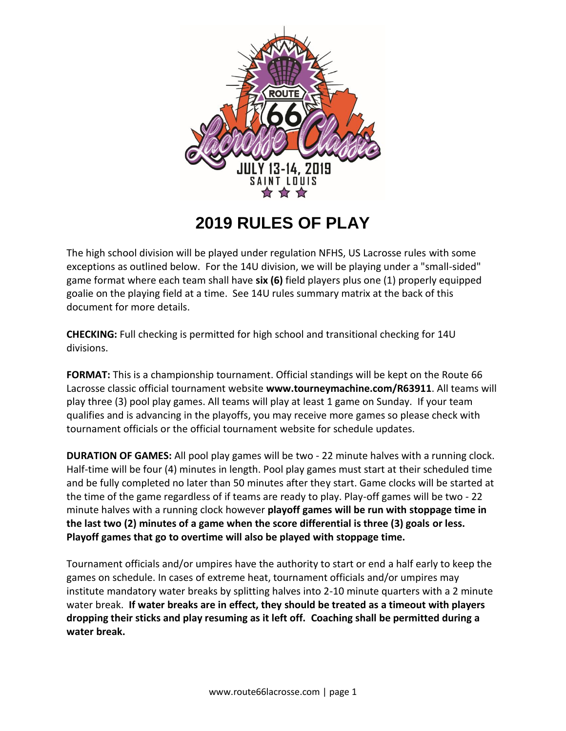

## **2019 RULES OF PLAY**

The high school division will be played under regulation NFHS, US Lacrosse rules with some exceptions as outlined below. For the 14U division, we will be playing under a "small-sided" game format where each team shall have **six (6)** field players plus one (1) properly equipped goalie on the playing field at a time. See 14U rules summary matrix at the back of this document for more details.

**CHECKING:** Full checking is permitted for high school and transitional checking for 14U divisions.

**FORMAT:** This is a championship tournament. Official standings will be kept on the Route 66 Lacrosse classic official tournament website **www.tourneymachine.com/R63911**. All teams will play three (3) pool play games. All teams will play at least 1 game on Sunday. If your team qualifies and is advancing in the playoffs, you may receive more games so please check with tournament officials or the official tournament website for schedule updates.

**DURATION OF GAMES:** All pool play games will be two - 22 minute halves with a running clock. Half-time will be four (4) minutes in length. Pool play games must start at their scheduled time and be fully completed no later than 50 minutes after they start. Game clocks will be started at the time of the game regardless of if teams are ready to play. Play-off games will be two - 22 minute halves with a running clock however **playoff games will be run with stoppage time in the last two (2) minutes of a game when the score differential is three (3) goals or less. Playoff games that go to overtime will also be played with stoppage time.** 

Tournament officials and/or umpires have the authority to start or end a half early to keep the games on schedule. In cases of extreme heat, tournament officials and/or umpires may institute mandatory water breaks by splitting halves into 2-10 minute quarters with a 2 minute water break. **If water breaks are in effect, they should be treated as a timeout with players dropping their sticks and play resuming as it left off. Coaching shall be permitted during a water break.**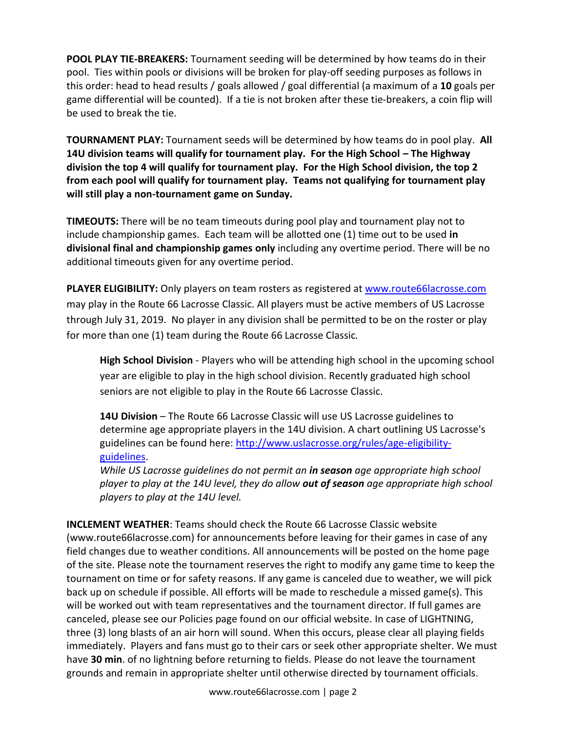**POOL PLAY TIE-BREAKERS:** Tournament seeding will be determined by how teams do in their pool. Ties within pools or divisions will be broken for play-off seeding purposes as follows in this order: head to head results / goals allowed / goal differential (a maximum of a **10** goals per game differential will be counted). If a tie is not broken after these tie-breakers, a coin flip will be used to break the tie.

**TOURNAMENT PLAY:** Tournament seeds will be determined by how teams do in pool play. **All 14U division teams will qualify for tournament play. For the High School – The Highway division the top 4 will qualify for tournament play. For the High School division, the top 2 from each pool will qualify for tournament play. Teams not qualifying for tournament play will still play a non-tournament game on Sunday.**

**TIMEOUTS:** There will be no team timeouts during pool play and tournament play not to include championship games. Each team will be allotted one (1) time out to be used **in divisional final and championship games only** including any overtime period. There will be no additional timeouts given for any overtime period.

**PLAYER ELIGIBILITY:** Only players on team rosters as registered at [www.route66lacrosse.com](http://www.route66lacrosse.com/) may play in the Route 66 Lacrosse Classic. All players must be active members of US Lacrosse through July 31, 2019. No player in any division shall be permitted to be on the roster or play for more than one (1) team during the Route 66 Lacrosse Classic*.*

**High School Division** - Players who will be attending high school in the upcoming school year are eligible to play in the high school division. Recently graduated high school seniors are not eligible to play in the Route 66 Lacrosse Classic.

**14U Division** – The Route 66 Lacrosse Classic will use US Lacrosse guidelines to determine age appropriate players in the 14U division. A chart outlining US Lacrosse's guidelines can be found here: [http://www.uslacrosse.org/rules/age-eligibility](http://www.uslacrosse.org/rules/age-eligibility-guidelines)[guidelines.](http://www.uslacrosse.org/rules/age-eligibility-guidelines)

*While US Lacrosse guidelines do not permit an in season age appropriate high school player to play at the 14U level, they do allow out of season age appropriate high school players to play at the 14U level.* 

**INCLEMENT WEATHER**: Teams should check the Route 66 Lacrosse Classic website (www.route66lacrosse.com) for announcements before leaving for their games in case of any field changes due to weather conditions. All announcements will be posted on the home page of the site. Please note the tournament reserves the right to modify any game time to keep the tournament on time or for safety reasons. If any game is canceled due to weather, we will pick back up on schedule if possible. All efforts will be made to reschedule a missed game(s). This will be worked out with team representatives and the tournament director. If full games are canceled, please see our Policies page found on our official website. In case of LIGHTNING, three (3) long blasts of an air horn will sound. When this occurs, please clear all playing fields immediately. Players and fans must go to their cars or seek other appropriate shelter. We must have **30 min**. of no lightning before returning to fields. Please do not leave the tournament grounds and remain in appropriate shelter until otherwise directed by tournament officials.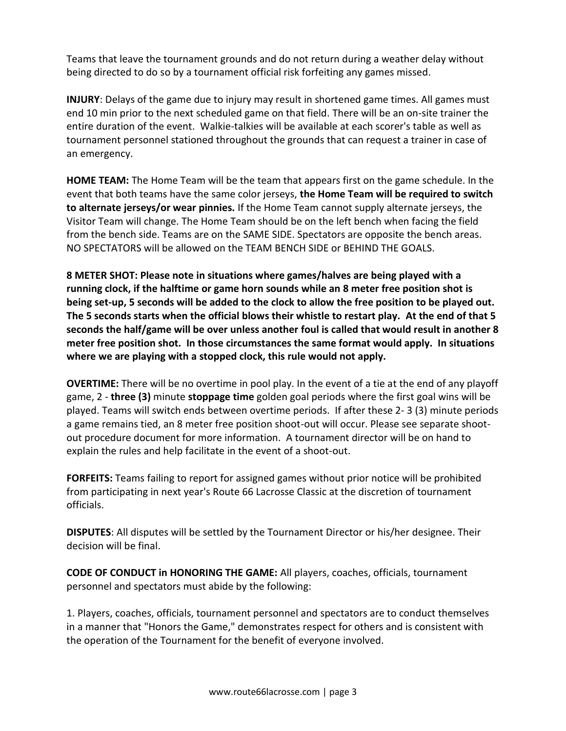Teams that leave the tournament grounds and do not return during a weather delay without being directed to do so by a tournament official risk forfeiting any games missed.

**INJURY**: Delays of the game due to injury may result in shortened game times. All games must end 10 min prior to the next scheduled game on that field. There will be an on-site trainer the entire duration of the event. Walkie-talkies will be available at each scorer's table as well as tournament personnel stationed throughout the grounds that can request a trainer in case of an emergency.

**HOME TEAM:** The Home Team will be the team that appears first on the game schedule. In the event that both teams have the same color jerseys, **the Home Team will be required to switch to alternate jerseys/or wear pinnies.** If the Home Team cannot supply alternate jerseys, the Visitor Team will change. The Home Team should be on the left bench when facing the field from the bench side. Teams are on the SAME SIDE. Spectators are opposite the bench areas. NO SPECTATORS will be allowed on the TEAM BENCH SIDE or BEHIND THE GOALS.

**8 METER SHOT: Please note in situations where games/halves are being played with a running clock, if the halftime or game horn sounds while an 8 meter free position shot is being set-up, 5 seconds will be added to the clock to allow the free position to be played out. The 5 seconds starts when the official blows their whistle to restart play. At the end of that 5 seconds the half/game will be over unless another foul is called that would result in another 8 meter free position shot. In those circumstances the same format would apply. In situations where we are playing with a stopped clock, this rule would not apply.** 

**OVERTIME:** There will be no overtime in pool play. In the event of a tie at the end of any playoff game, 2 - **three (3)** minute **stoppage time** golden goal periods where the first goal wins will be played. Teams will switch ends between overtime periods. If after these 2- 3 (3) minute periods a game remains tied, an 8 meter free position shoot-out will occur. Please see separate shootout procedure document for more information. A tournament director will be on hand to explain the rules and help facilitate in the event of a shoot-out.

**FORFEITS:** Teams failing to report for assigned games without prior notice will be prohibited from participating in next year's Route 66 Lacrosse Classic at the discretion of tournament officials.

**DISPUTES**: All disputes will be settled by the Tournament Director or his/her designee. Their decision will be final.

**CODE OF CONDUCT in HONORING THE GAME:** All players, coaches, officials, tournament personnel and spectators must abide by the following:

1. Players, coaches, officials, tournament personnel and spectators are to conduct themselves in a manner that "Honors the Game," demonstrates respect for others and is consistent with the operation of the Tournament for the benefit of everyone involved.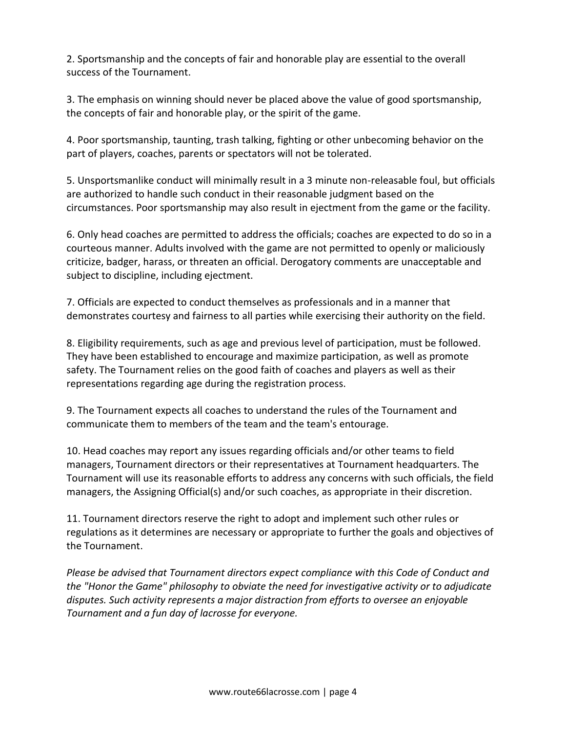2. Sportsmanship and the concepts of fair and honorable play are essential to the overall success of the Tournament.

3. The emphasis on winning should never be placed above the value of good sportsmanship, the concepts of fair and honorable play, or the spirit of the game.

4. Poor sportsmanship, taunting, trash talking, fighting or other unbecoming behavior on the part of players, coaches, parents or spectators will not be tolerated.

5. Unsportsmanlike conduct will minimally result in a 3 minute non-releasable foul, but officials are authorized to handle such conduct in their reasonable judgment based on the circumstances. Poor sportsmanship may also result in ejectment from the game or the facility.

6. Only head coaches are permitted to address the officials; coaches are expected to do so in a courteous manner. Adults involved with the game are not permitted to openly or maliciously criticize, badger, harass, or threaten an official. Derogatory comments are unacceptable and subject to discipline, including ejectment.

7. Officials are expected to conduct themselves as professionals and in a manner that demonstrates courtesy and fairness to all parties while exercising their authority on the field.

8. Eligibility requirements, such as age and previous level of participation, must be followed. They have been established to encourage and maximize participation, as well as promote safety. The Tournament relies on the good faith of coaches and players as well as their representations regarding age during the registration process.

9. The Tournament expects all coaches to understand the rules of the Tournament and communicate them to members of the team and the team's entourage.

10. Head coaches may report any issues regarding officials and/or other teams to field managers, Tournament directors or their representatives at Tournament headquarters. The Tournament will use its reasonable efforts to address any concerns with such officials, the field managers, the Assigning Official(s) and/or such coaches, as appropriate in their discretion.

11. Tournament directors reserve the right to adopt and implement such other rules or regulations as it determines are necessary or appropriate to further the goals and objectives of the Tournament.

*Please be advised that Tournament directors expect compliance with this Code of Conduct and the "Honor the Game" philosophy to obviate the need for investigative activity or to adjudicate disputes. Such activity represents a major distraction from efforts to oversee an enjoyable Tournament and a fun day of lacrosse for everyone.*